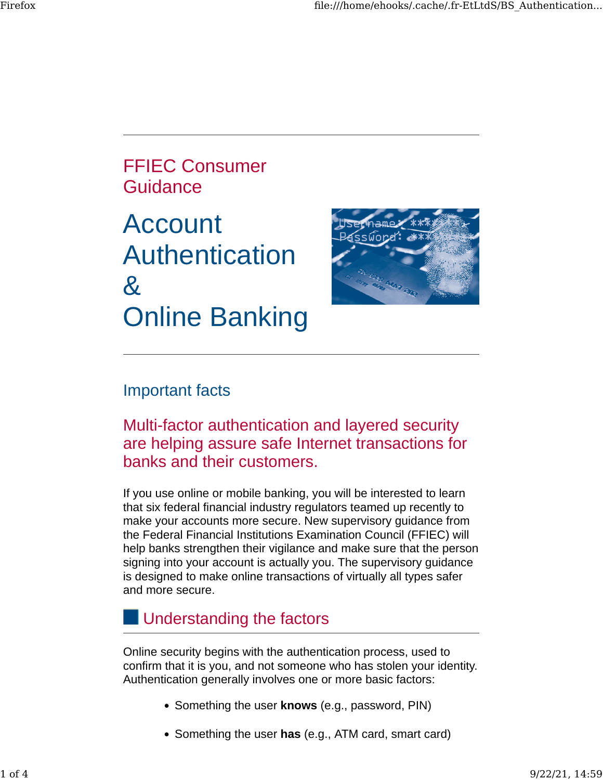# FFIEC Consumer **Guidance**

# Account Authentication  $\boldsymbol{\mathcal{X}}$ Online Banking



#### Important facts

#### Multi-factor authentication and layered security are helping assure safe Internet transactions for banks and their customers.

If you use online or mobile banking, you will be interested to learn that six federal financial industry regulators teamed up recently to make your accounts more secure. New supervisory guidance from the Federal Financial Institutions Examination Council (FFIEC) will help banks strengthen their vigilance and make sure that the person signing into your account is actually you. The supervisory guidance is designed to make online transactions of virtually all types safer and more secure.

# **Understanding the factors**

Online security begins with the authentication process, used to confirm that it is you, and not someone who has stolen your identity. Authentication generally involves one or more basic factors:

- Something the user **knows** (e.g., password, PIN)
- Something the user **has** (e.g., ATM card, smart card)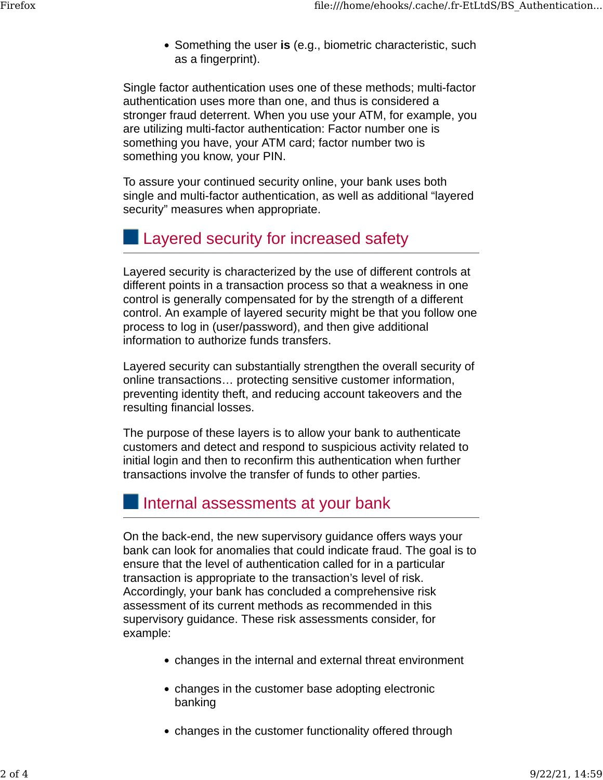• Something the user **is** (e.g., biometric characteristic, such as a fingerprint).

Single factor authentication uses one of these methods; multi-factor authentication uses more than one, and thus is considered a stronger fraud deterrent. When you use your ATM, for example, you are utilizing multi-factor authentication: Factor number one is something you have, your ATM card; factor number two is something you know, your PIN.

To assure your continued security online, your bank uses both single and multi-factor authentication, as well as additional "layered security" measures when appropriate.

## **Layered security for increased safety**

Layered security is characterized by the use of different controls at different points in a transaction process so that a weakness in one control is generally compensated for by the strength of a different control. An example of layered security might be that you follow one process to log in (user/password), and then give additional information to authorize funds transfers.

Layered security can substantially strengthen the overall security of online transactions… protecting sensitive customer information, preventing identity theft, and reducing account takeovers and the resulting financial losses.

The purpose of these layers is to allow your bank to authenticate customers and detect and respond to suspicious activity related to initial login and then to reconfirm this authentication when further transactions involve the transfer of funds to other parties.

### Internal assessments at your bank

On the back-end, the new supervisory guidance offers ways your bank can look for anomalies that could indicate fraud. The goal is to ensure that the level of authentication called for in a particular transaction is appropriate to the transaction's level of risk. Accordingly, your bank has concluded a comprehensive risk assessment of its current methods as recommended in this supervisory guidance. These risk assessments consider, for example:

- changes in the internal and external threat environment
- changes in the customer base adopting electronic banking
- changes in the customer functionality offered through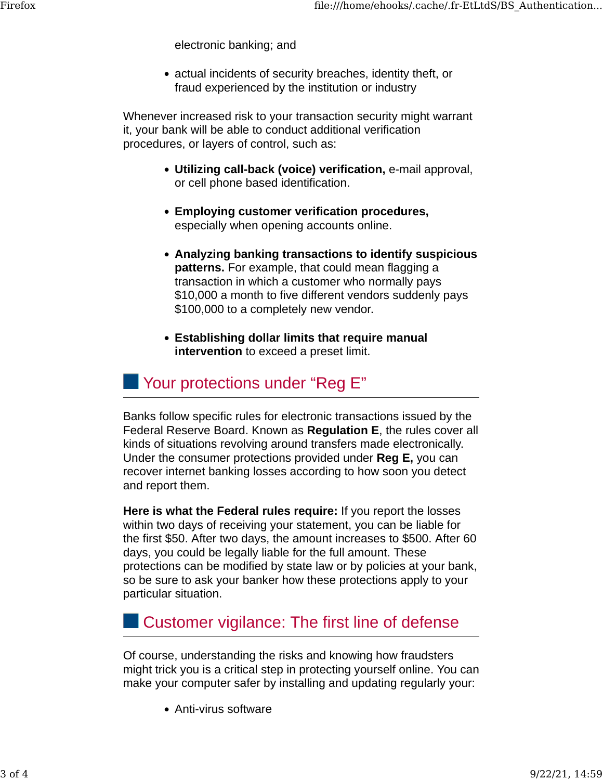electronic banking; and

• actual incidents of security breaches, identity theft, or fraud experienced by the institution or industry

Whenever increased risk to your transaction security might warrant it, your bank will be able to conduct additional verification procedures, or layers of control, such as:

- **Utilizing call-back (voice) verification,** e-mail approval, or cell phone based identification.
- **Employing customer verification procedures,** especially when opening accounts online.
- **Analyzing banking transactions to identify suspicious patterns.** For example, that could mean flagging a transaction in which a customer who normally pays \$10,000 a month to five different vendors suddenly pays \$100,000 to a completely new vendor.
- **Establishing dollar limits that require manual intervention** to exceed a preset limit.

## Your protections under "Reg E"

Banks follow specific rules for electronic transactions issued by the Federal Reserve Board. Known as **Regulation E**, the rules cover all kinds of situations revolving around transfers made electronically. Under the consumer protections provided under **Reg E,** you can recover internet banking losses according to how soon you detect and report them.

**Here is what the Federal rules require:** If you report the losses within two days of receiving your statement, you can be liable for the first \$50. After two days, the amount increases to \$500. After 60 days, you could be legally liable for the full amount. These protections can be modified by state law or by policies at your bank, so be sure to ask your banker how these protections apply to your particular situation.

## **Customer vigilance: The first line of defense**

Of course, understanding the risks and knowing how fraudsters might trick you is a critical step in protecting yourself online. You can make your computer safer by installing and updating regularly your:

• Anti-virus software